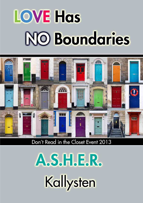# **LOVE Has NO Boundaries**



# Don't Read in the Closet Event 2013

A.S.H.E.R. Kallysten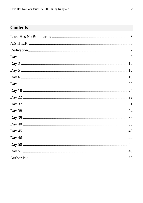# **Contents**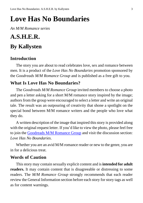# <span id="page-2-0"></span>**Love Has No Boundaries**

*An M/M Romance series*

# **A.S.H.E.R. By Kallysten**

# **Introduction**

The story you are about to read celebrates love, sex and romance between men. It is a product of the *Love Has No Boundaries* promotion sponsored by the *Goodreads M/M Romance Group* and is published as a free gift to you.

# **What Is Love Has No Boundaries?**

The *Goodreads M/M Romance Group* invited members to choose a photo and pen a letter asking for a short M/M romance story inspired by the image; authors from the group were encouraged to select a letter and write an original tale. The result was an outpouring of creativity that shone a spotlight on the special bond between M/M romance writers and the people who love what they do.

A written description of the image that inspired this story is provided along with the original request letter. If you'd like to view the photo, please feel free to join the [Goodreads M/M Romance Group](http://www.goodreads.com/group/show/20149-m-m-romance) and visit the discussion section: *Love Has No Boundaries*.

Whether you are an avid M/M romance reader or new to the genre, you are in for a delicious treat.

## **Words of Caution**

This story may contain sexually explicit content and is **intended for adult readers.** It may contain content that is disagreeable or distressing to some readers. The *M/M Romance Group* strongly recommends that each reader review the General Information section before each story for story tags as well as for content warnings.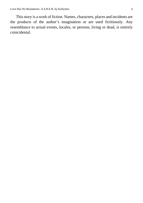This story is a work of fiction. Names, characters, places and incidents are the products of the author's imagination or are used fictitiously. Any resemblance to actual events, locales, or persons, living or dead, is entirely coincidental.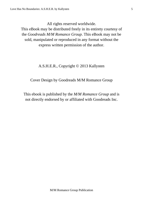All rights reserved worldwide.

This eBook may be distributed freely in its entirety courtesy of the *Goodreads M/M Romance Group*. This eBook may not be sold, manipulated or reproduced in any format without the express written permission of the author.

#### A.S.H.E.R., Copyright © 2013 Kallysten

#### Cover Design by Goodreads M/M Romance Group

This ebook is published by the *M/M Romance Group* and is not directly endorsed by or affiliated with Goodreads Inc.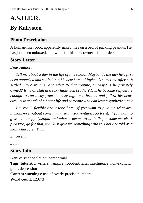# <span id="page-5-0"></span>**A.S.H.E.R. By Kallysten**

# **Photo Description**

A human-like robot, apparently naked, lies on a bed of packing peanuts. He has just been unboxed, and waits for his new owner's first orders.

## **Story Letter**

*Dear Author*,

*Tell me about a day in the life of this sexbot. Maybe it's the day he's first been unpacked and settled into his new home! Maybe it's sometime after he's settled into a routine. And what IS that routine, anyway? Is he privately owned? Is he on staff at a sexy high-tech brothel? Has he become self-aware enough to run away from the sexy high-tech brothel and follow his heart circuits in search of a better life and someone who can love a synthetic man?*

*I'm really flexible about tone here—if you want to give me what-arehumans-even-about comedy and sex misadventures, go for it; if you want to give me creepy dystopia and what it means to be built for someone else's pleasure, go for that, too. Just give me something with this hot android as a main character. Yum.*

*Sincerely,*

*Laylah*

# **Story Info**

**Genre:** science fiction, paranormal

**Tags**: futuristic, writers, vampire, robot/artificial intelligence, non-explicit, grief, depression **Content warnings**: use of overly precise numbers

**Word count**: 12,673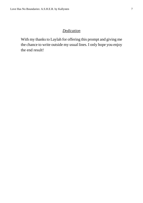#### *Dedication*

<span id="page-6-0"></span>With my thanks to Laylah for offering this prompt and giving me the chance to write outside my usual lines. I only hope you enjoy the end result!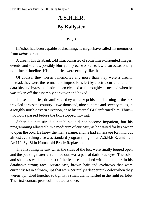# **A.S.H.E.R. By Kallysten**

#### *Day 1*

<span id="page-7-0"></span>If Asher had been capable of dreaming, he might have called his memories from *before* dreamlike.

A dream, his databank told him, consisted of sometimes-disjointed images, events, and sounds, possibly blurry, imprecise or surreal, with an occasionally non-linear timeline. His memories were exactly like that.

Of course, they weren't memories any more than they were a dream. Instead, they were the remnant of impressions left by electric current, random data bits and bytes that hadn't been cleaned as thoroughly as needed when he was taken off the assembly conveyor and boxed.

Those memories, dreamlike as they were, kept his mind turning as the box traveled across the country—two thousand, nine hundred and seventy miles, in a roughly north-eastern direction, or so his internal GPS informed him. Thirtytwo hours passed before the box stopped moving.

Asher did not stir, did not blink, did not become impatient, but his programming allowed him a modicum of curiosity as he waited for his owner to open the box. He knew the man's name, and he had a message for him, but almost everything else was standard programming for an A.S.H.E.R. unit—an ArtLife SynSkin Humanoid Erotic Replacement.

The first thing he saw when the sides of the box were finally tugged open and the packing material tumbled out, was a pair of dark-blue eyes. The color and shape as well as the rest of the features matched with the holopix in his databank: strong face, square jaw, brown hair and eyebrows that were currently set in a frown, lips that were certainly a deeper pink color when they weren't pinched together so tightly, a small diamond stud in the right earlobe. The first-contact protocol initiated at once.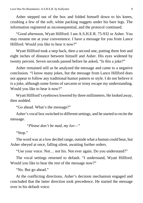Asher stepped out of the box and folded himself down to his knees, crushing a few of the soft, white packing nuggets under his bare legs. The information registered as inconsequential, and the protocol continued.

"Good afternoon, Wyatt Hillford. I am A.S.H.E.R. 75-932 or Asher. You may rename me at your convenience. I have a message for you from Lance Hillford. Would you like to hear it now?"

Wyatt Hillford took a step back, then a second one, putting three feet and eight inches of distance between himself and Asher. His eyes widened by twenty percent. Seven seconds passed before he asked, "Is this a joke?"

Asher remained still as he analyzed the message and came to a negative conclusion. "I know many jokes, but the message from Lance Hillford does not appear to follow any traditional humor pattern or style. I do not believe it is a joke, although some forms of sarcasm or irony escape my understanding. Would you like to hear it now?"

Wyatt Hillford's eyebrows lowered by three millimeters. He looked away, then nodded.

"Go ahead. What's the message?"

Asher's vocal box switched to different settings, and he started to recite the message.

*"Please don't be mad, my lov—"*

"Stop."

The word was at a low decibel range, outside what a human could hear, but Asher obeyed at once, falling silent, awaiting further orders.

"Use your voice. Not… not his. Not ever again. Do you understand?"

The vocal settings returned to default. "I understand, Wyatt Hillford. Would you like to hear the rest of the message now?"

"No. But go ahead."

At the conflicting directions, Asher's decision mechanism engaged and concluded that the latter direction took precedence. He started the message over in his default voice.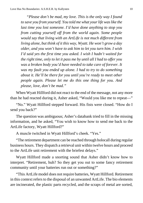*"Please don't be mad, my love. This is the only way I found to save you from yourself. You told me what your life was like the last time you lost someone. I'd have done anything to stop you from cutting yourself off from the world again. Some people would say that living with an ArtLife is not much different from living alone, but think of it this way, Wyatt. He won't grow a day older, and you won't have to ask him to let you turn him. I wish I'd said yes the first time you asked. I wish I hadn't waited for the right time, only to let it pass me by until all I had to offer you was a broken body you'd have needed to take care of forever. It was my fault you ended up alone. I had to try to do something about it. He'll be there for you until you're ready to meet other people again. Please let me do this one thing for you. And please, love, don't be mad."*

When Wyatt Hillford did not react to the end of the message, not any more than he had reacted during it, Asher asked, "Would you like me to repeat—"

"No." Wyatt Hillford stepped forward. His fists were closed. "How do I send you back?"

The question was ambiguous; Asher's databank tried to fill in the missing information, and he asked, "You wish to know how to send me back to the ArtLife factory, Wyatt Hillford?"

A muscle twitched in Wyatt Hillford's cheek. "Yes."

"The retirement department can be reached through holocall during regular business hours. They dispatch a retrieval unit within twelve hours and proceed to the ArtLife unit retirement with the briefest delays."

Wyatt Hillford made a snorting sound that Asher didn't know how to interpret. "Retirement, huh? So they get you out to some fancy retirement community until your batteries run out or something?"

"This ArtLife model does not require batteries, Wyatt Hillford. Retirement in this context refers to the disposal of an unwanted ArtLife. The bio elements are incinerated, the plastic parts recycled, and the scraps of metal are sorted,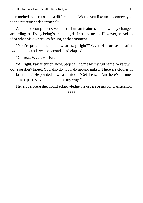then melted to be reused in a different unit. Would you like me to connect you to the retirement department?"

Asher had comprehensive data on human features and how they changed according to a living being's emotions, desires, and needs. However, he had no idea what his owner was feeling at that moment.

"You're programmed to do what I say, right?" Wyatt Hillford asked after two minutes and twenty seconds had elapsed.

"Correct, Wyatt Hillford."

"All right. Pay attention, now. Stop calling me by my full name. Wyatt will do. You don't kneel. You also do not walk around naked. There are clothes in the last room." He pointed down a corridor. "Get dressed. And here's the most important part, stay the hell out of my way."

He left before Asher could acknowledge the orders or ask for clarification.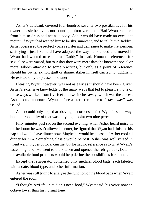<span id="page-11-0"></span>Asher's databank covered four-hundred seventy two possibilities for his owner's basic behavior, not counting minor variations. Had Wyatt required from him to dress and act as a pony, Asher would have made an excellent mount. If Wyatt had wanted him to be shy, innocent, and to call him "Daddy", Asher possessed the perfect voice register and demeanor to make that persona satisfying—just like he'd have adapted the way he sounded and moved if Wyatt had wanted to call him "Daddy" instead. Human preferences for sexuality were varied, but to Asher they were mere data; he knew the social or moral taboos attached to some practices, but only as a point of reference should his owner exhibit guilt or shame. Asher himself carried no judgment. He existed only to please his owner.

Pleasing Wyatt, however, was not as easy as it should have been. Given Asher's extensive knowledge of the many ways that led to pleasure, none of those ways worked from five feet and two inches away, which was the closest Asher could approach Wyatt before a stern reminder to "stay away" was issued.

Asher could only hope that obeying that order satisfied Wyatt in some way, but the probability of that was only eight point two nine percent.

Fifty minutes past six on the second evening, when Asher heard noise in the bedroom he wasn't allowed to enter, he figured that Wyatt had finished his nap and would have dinner now. Maybe he would be pleased if Asher cooked dinner for him. Something classic would be best. Asher was well versed in twenty-eight types of local cuisine, but he had no reference as to what Wyatt's tastes might be. He went to the kitchen and opened the refrigerator. Data on the available food products would help define the possibilities for dinner.

Except the refrigerator contained only medical blood bags, each labeled with a date, blood type, and other information.

Asher was still trying to analyze the function of the blood bags when Wyatt entered the room.

"I thought ArtLife units didn't need food," Wyatt said, his voice now an octave lower than his normal tone.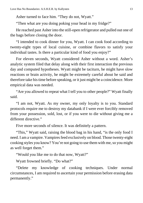Asher turned to face him. "They do not, Wyatt."

"Then what are you doing poking your head in my fridge?"

He reached past Asher into the still-open refrigerator and pulled out one of the bags before closing the door.

"I intended to cook dinner for you, Wyatt. I can cook food according to twenty-eight types of local cuisine, or combine flavors to satisfy your individual tastes. Is there a particular kind of food you enjoy?"

For eleven seconds, Wyatt considered Asher without a word. Asher's analytic system filed that delay along with their first interaction the previous day and computed hypotheses. Wyatt might be taciturn, he might have slow reactions or brain activity, he might be extremely careful about he said and therefore take his time before speaking, or it just might be a coincidence. More empirical data was needed.

"Are you allowed to repeat what I tell you to other people?" Wyatt finally said.

"I am not, Wyatt. As my owner, my only loyalty is to you. Standard protocols require me to destroy my databank if I were ever forcibly removed from your possession, sold, lost, or if you were to die without giving me a different directive."

Five more seconds of silence. It was definitely a pattern.

"This," Wyatt said, raising the blood bag in his hand, "is the only food I need. I am a vampire. Vampires feed exclusively on blood. Those twenty-eight cooking styles you know? You're not going to use them with me, so you might as well forget them."

"Would you like me to do that now, Wyatt?"

Wyatt frowned briefly. "Do what?"

"Delete my knowledge of cooking techniques. Under normal circumstances, I am required to ascertain your permission before erasing data permanently."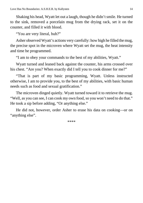Shaking his head, Wyatt let out a laugh, though he didn't smile. He turned to the sink, removed a porcelain mug from the drying rack, set it on the counter, and filled it with blood.

"You are very literal, huh?"

Asher observed Wyatt's actions very carefully: how high he filled the mug, the precise spot in the microven where Wyatt set the mug, the heat intensity and time he programmed.

"I am to obey your commands to the best of my abilities, Wyatt."

Wyatt turned and leaned back against the counter, his arms crossed over his chest. "Are you? When exactly did I tell you to cook dinner for me?"

"That is part of my basic programming, Wyatt. Unless instructed otherwise, I am to provide you, to the best of my abilities, with basic human needs such as food and sexual gratification."

The microven dinged quietly. Wyatt turned toward it to retrieve the mug. "Well, as you can see, I can cook my own food, so you won't need to do that." He took a sip before adding, "Or anything else."

He did not, however, order Asher to erase his data on cooking—or on "anything else".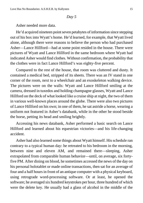<span id="page-14-0"></span>Asher needed more data.

He'd acquired nineteen point seven petabytes of information since stepping out of his box into Wyatt's home. He'd learned, for example, that Wyatt lived alone, although there were reasons to believe the person who had purchased Asher—Lance Hillford—had at some point resided in the house. There were pictures of Wyatt and Lance Hillford in the same bedroom where Wyatt had indicated Asher would find clothes. Without confirmation, the probability that the clothes were in fact Lance Hillford's was eighty-five percent.

Compared to the rest of the house, that room was cluttered and dusty. It contained a medical bed, stripped of its sheets. There was an IV stand in one corner of the room, next to a wheelchair and an exoskeleton walking device. The pictures were on the walls: Wyatt and Lance Hillford smiling at the camera, dressed in tuxedos and holding champagne glasses, Wyatt and Lance Hillford on the deck of what looked like a cruise ship at night, the two of them in various well-known places around the globe. There were also two pictures of Lance Hillford on his own; in one of them, he sat astride a horse, wearing a uniform not featured in Asher's databank, while in the other he stood beside the horse, petting its head and smiling brightly.

Accessing his news databank, Asher performed a basic search on Lance Hillford and learned about his equestrian victories—and his life-changing accident.

Asher had also learned some things about Wyatt himself. His schedule ran contrary to a typical human day: he retreated to his bedroom in the morning, between nine and eleven AM, and remained there—sleeping, Asher extrapolated from comparable human behavior—until, on average, six fortyfive PM. After dining on blood, he sometimes accessed the news of the day on his personal holotablet or made online transactions, then sat for an average of four and a half hours in front of an antique computer with a physical keyboard, using retrograde word-processing software. Or at least, he opened the software; he averaged six hundred keystrokes per hour, three hundred of which were the delete key. He usually had a glass of alcohol in the middle of the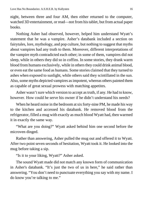night, between three and four AM, then either returned to the computer, watched 3D entertainment, or read—not from his tablet, but from actual paper books.

Nothing Asher had observed, however, helped him understand Wyatt's statement that he was a vampire. Asher's databank included a section on fairytales, lore, mythology, and pop culture, but nothing to suggest that myths about vampires had any truth to them. Moreover, different interpretations of the vampire myth contradicted each other; in some of them, vampires did not sleep, while in others they did so in coffins. In some stories, they drank warm blood from humans exclusively, while in others they could drink animal blood, or even eat the same food as humans. Some stories claimed that they turned to ashes when exposed to sunlight, while others said they scintillated in the sun. Also, some myths depicted vampires as impotent, whereas others painted them as capable of great sexual prowess with matching appetites.

Asher wasn't sure which version to accept as truth, if any. He had to know, however. How could he serve his owner if he didn't understand his needs?

When he heard noise in the bedroom at six forty-nine PM, he made his way to the kitchen and accessed his databank. He removed blood from the refrigerator, filled a mug with exactly as much blood Wyatt had, then warmed it in exactly the same way.

"What are you doing?" Wyatt asked behind him one second before the microven dinged.

Rather than answering, Asher pulled the mug out and offered it to Wyatt. After two point seven seconds of hesitation, Wyatt took it. He looked into the mug before taking a sip.

"Is it to your liking, Wyatt?" Asher asked.

The sound Wyatt made did not match any known form of communication in Asher's databank. "It's just the two of us in here," he said rather than answering. "You don't need to punctuate everything you say with my name. I do know you're talking to me."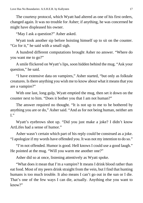The courtesy protocol, which Wyatt had altered as one of his first orders, changed again. It was no trouble for Asher; if anything, he was concerned he might have displeased his owner.

"May I ask a question?" Asher asked.

Wyatt took another sip before hoisting himself up to sit on the counter. "Go for it," he said with a small sigh.

A hundred different computations brought Asher no answer. "Where do you want me to go?"

A smile flickered on Wyatt's lips, soon hidden behind the mug. "Ask your question," he said.

"I have extensive data on vampires," Asher started, "but only as folktale creatures. Is there anything you wish me to know about what it means that you are a vampire?"

With one last, long gulp, Wyatt emptied the mug, then set it down on the counter next to him. "Does it bother you that I am not human?"

The answer required no thought. "It is not up to me to be bothered by anything you are or do," Asher said. "And as for not being human, neither am  $\mathbf{I}$ ."

Wyatt's eyebrows shot up. "Did you just make a joke? I didn't know ArtLifes had a sense of humor."

Asher wasn't certain which part of his reply could be construed as a joke. "I apologize if my words have offended you. It was not my intention to do so."

"I'm not offended. Humor is good. Hell knows I could use a good laugh." He pointed at the mug. "Will you warm me another one?"

Asher did so at once, listening attentively as Wyatt spoke.

"What does it mean that I'm a vampire? It means I drink blood rather than eat food. Most of my peers drink straight from the vein, but I find that hunting humans is too much trouble. It also means I can't go out in the sun or I die. That's one of the few ways I can die, actually. Anything else you want to know?"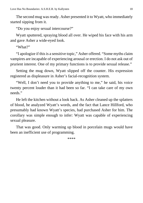The second mug was ready. Asher presented it to Wyatt, who immediately started sipping from it.

"Do you enjoy sexual intercourse?"

Wyatt sputtered, spraying blood all over. He wiped his face with his arm and gave Asher a wide-eyed look.

"What?"

"I apologize if this is a sensitive topic," Asher offered. "Some myths claim vampires are incapable of experiencing arousal or erection. I do not ask out of prurient interest. One of my primary functions is to provide sexual release."

Setting the mug down, Wyatt slipped off the counter. His expression registered as displeasure in Asher's facial-recognition system.

"Well, I don't need you to provide anything to me," he said, his voice twenty percent louder than it had been so far. "I can take care of my own needs."

He left the kitchen without a look back. As Asher cleaned up the splatters of blood, he analyzed Wyatt's words, and the fact that Lance Hillford, who presumably had known Wyatt's species, had purchased Asher for him. The corollary was simple enough to infer: Wyatt was capable of experiencing sexual pleasure.

That was good. Only warming up blood in porcelain mugs would have been an inefficient use of programming.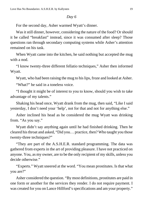<span id="page-18-0"></span>For the second day, Asher warmed Wyatt's dinner.

Was it still dinner, however, considering the nature of the food? Or should it be called "breakfast" instead, since it was consumed after sleep? Those questions ran through secondary computing systems while Asher's attention remained on his task.

When Wyatt came into the kitchen, he said nothing but accepted the mug with a nod.

"I know twenty-three different fellatio techniques," Asher then informed Wyatt.

Wyatt, who had been raising the mug to his lips, froze and looked at Asher.

"What?" he said in a toneless voice.

"I thought it might be of interest to you to know, should you wish to take advantage of my talents."

Shaking his head once, Wyatt drank from the mug, then said, "Like I said yesterday, I don't need your 'help', not for that and not for anything else."

Asher inclined his head as he considered the mug Wyatt was drinking from. "As you say."

Wyatt didn't say anything again until he had finished drinking. Then he cleared his throat and asked, "Did you… practice, then? Who taught you those twenty-three techniques?"

"They are part of the A.S.H.E.R. standard programming. The data was gathered from experts in the art of providing pleasure. I have not practiced on anyone. You, as my owner, are to be the only recipient of my skills, unless you decide otherwise."

"Experts." Wyatt sneered at the word. "You mean prostitutes. Is that what you are?"

Asher considered the question. "By most definitions, prostitutes are paid in one form or another for the services they render. I do not require payment. I was created for you on Lance Hillford's specifications and am your property."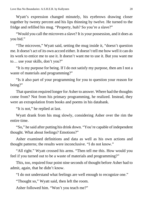Wyatt's expression changed minutely, his eyebrows drawing closer together by twenty percent and his lips thinning by twelve. He turned to the fridge and refilled his mug. "Property, huh? So you're a slave?"

"Would you call the microven a slave? It is your possession, and it does as you bid."

"The microven," Wyatt said, setting the mug inside it, "doesn't question me. It doesn't act of its own accord either. It doesn't tell me how well it can do its work to entice me to use it. It doesn't want me to use it. But you want me to… use your skills, don't you?"

"It is my purpose for being. If I do not satisfy my purpose, then am I not a waste of materials and programming?"

"Is it also part of your programming for you to question your reason for being?"

That question required longer for Asher to answer. Where had the thoughts come from? Not from his primary programming, he realized. Instead, they were an extrapolation from books and poems in his databank.

"It is not," he replied at last.

Wyatt drank from his mug slowly, considering Asher over the rim the entire time.

"So," he said after putting his drink down. "You're capable of independent thought. What about feelings? Emotions?"

Asher examined definitions and data as well as his own actions and thought patterns; the results were inconclusive. "I do not know."

"All right." Wyatt crossed his arms. "Then tell me this. How would you feel if you turned out to be a waste of materials and programming?"

This, too, required four point nine seconds of thought before Asher had to admit, again, that he didn't know.

"I do not understand what feelings are well enough to recognize one."

"Thought so," Wyatt said, then left the room.

Asher followed him. "Won't you teach me?"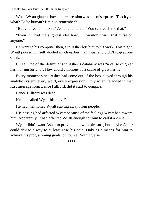When Wyatt glanced back, his expression was one of surprise. "Teach you what? To be human? I'm not, remember?"

"But you feel emotions," Asher countered. "You can teach me that."

"Even if I had the slightest idea how… I wouldn't wish that curse on anyone."

He went to his computer then, and Asher left him to his work. This night, Wyatt poured himself alcohol much earlier than usual and didn't stop at one drink.

Curse. One of the definitions in Asher's databank was "a cause of great harm or misfortune". How could emotions be a cause of great harm?

Every moment since Asher had come out of the box played through his analytic system, every word, every expression. Only when he added in that first message from Lance Hillford, did it start to compile.

Lance Hillford was dead.

He had called Wyatt his "love".

He had mentioned Wyatt staying away from people.

His passing had affected Wyatt because of the feelings Wyatt had toward him. Apparently, it had affected Wyatt enough for him to call it a curse.

Wyatt didn't want Asher to provide him with pleasure, but maybe Asher could devise a way to at least ease his pain. Only as a means for him to achieve his programming goals, of course. Nothing else.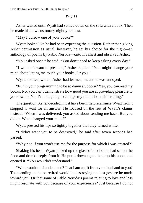<span id="page-21-0"></span>Asher waited until Wyatt had settled down on the sofa with a book. Then he made his now customary nightly request.

"May I borrow one of your books?"

Wyatt looked like he had been expecting the question. Rather than giving Asher permission as usual, however, he set his choice for the night—an anthology of poems by Pablo Neruda—onto his chest and observed Asher.

"You asked once," he said. "You don't need to keep asking every day."

"I wouldn't want to presume," Asher replied. "You might change your mind about letting me touch your books. Or you."

Wyatt snorted, which, Asher had learned, meant he was annoyed.

"Is it in your programming to be so damn stubborn? Yes, you can read my books. No, you can't demonstrate how good you are at providing pleasure to your owner. No, I'm not going to change my mind about either thing."

The question, Asher decided, must have been rhetorical since Wyatt hadn't stopped to wait for an answer. He focused on the rest of Wyatt's claims instead. "When I was delivered, you asked about sending me back. But you didn't. What changed your mind?"

Wyatt pressed his lips so tightly together that they turned white.

"I didn't want you to be destroyed," he said after seven seconds had passed.

"Why not, if you won't use me for the purpose for which I was created?"

Shaking his head, Wyatt picked up the glass of alcohol he had set on the floor and drank deeply from it. He put it down again, held up his book, and opened it. "You wouldn't understand."

"What wouldn't I understand? That I am a gift from your husband to you? That sending me to be retired would be destroying the last gesture he made toward you? Or that some of Pablo Neruda's poems relating to love and loss might resonate with you because of your experiences? Just because I do not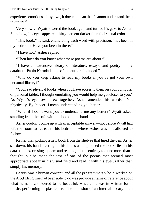experience emotions of my own, it doesn't mean that I cannot understand them in others."

Very slowly, Wyatt lowered the book again and turned his gaze to Asher. Somehow, his eyes appeared thirty percent darker than their usual color.

"This book," he said, enunciating each word with precision, "has been in my bedroom. Have you been in there?"

"I have not," Asher replied.

"Then how do you know what these poems are about?"

"I have an extensive library of literature, essays, and poetry in my databank. Pablo Neruda is one of the authors included."

"Why do you keep asking to read my books if you've got your own personal library?"

"You read physical books when you have access to them on your computer or personal tablet. I thought emulating you would help me get closer to you." As Wyatt's eyebrows drew together, Asher amended his words. "Not physically. By 'closer' I mean understanding you better."

"What if I don't want you to understand me any better?" Wyatt asked, standing from the sofa with the book in his hand.

Asher couldn't come up with an acceptable answer—not before Wyatt had left the room to retreat to his bedroom, where Asher was not allowed to follow.

Rather than picking a new book from the shelves that lined the den, Asher sat down, his hands resting on his knees as he perused the book files in his data bank. Accessing a poem and reading it in its entirety took no more than a thought, but he made the text of one of the poems that seemed most appropriate appear in his visual field and read it with his eyes, rather than simply his memory.

Beauty was a human concept, and all the programmers who'd worked on the A.S.H.E.R. line had been able to do was provide a frame of reference about what humans considered to be beautiful, whether it was in written form, music, performing or plastic arts. The inclusion of an internal library in an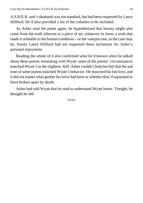A.S.H.E.R. unit's databank was not standard, but had been requested by Lance Hillford. He'd also provided a list of the volumes to be included.

As Asher read the poem again, he hypothesized that beauty might also come from the truth inherent to a piece of art, whatever its form; a truth that made it relatable to the human condition—or the vampire one, as the case may be. Surely Lance Hillford had not requested these inclusions for Asher's personal enjoyment.

Reading the whole of it also confirmed what he'd known when he talked about these poems resonating with Wyatt: none of the poems' circumstances matched Wyatt's in the slightest. Still, Asher couldn't help but feel that the sad tone of some poems matched Wyatt's behavior. He mourned his lost love, and it did not matter what gender his lover had been or whether they'd separated or been broken apart by death.

Asher had told Wyatt that he read to understand Wyatt better. Tonight, he thought he did.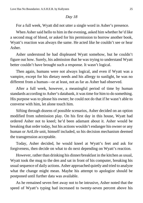<span id="page-24-0"></span>For a full week, Wyatt did not utter a single word in Asher's presence.

When Asher said hello to him in the evening, asked him whether he'd like a second mug of blood, or asked for his permission to borrow another book, Wyatt's reaction was always the same. He acted like he couldn't see or hear Asher.

Asher understood he had displeased Wyatt somehow, but he couldn't figure out how. Surely, his admission that he was trying to understand Wyatt better couldn't have brought such a response. It wasn't logical.

Then again, humans were not always logical, and even if Wyatt was a vampire, except for his dietary needs and his allergy to sunlight, he was no different from a human—or at least, not as far as Asher had observed.

After a full week, however, a meaningful period of time by human standards according to Asher's databank, it was time for him to do something. His purpose was to please his owner; he could not do that if he wasn't able to converse with him, let alone touch him.

Sifting through dozens of possible scenarios, Asher decided on an option modified from submission play. On his first day in this house, Wyatt had ordered Asher not to kneel; he'd been adamant about it. Asher would be breaking that order today, but his actions wouldn't endanger his owner or any human or ArtLife unit, himself included, so his decision mechanism deemed the transgression acceptable.

Today, Asher decided, he would kneel at Wyatt's feet and ask for forgiveness, then decide on what to do next depending on Wyatt's reaction.

However, rather than drinking his dinner/breakfast in the kitchen as usual, Wyatt took the mug to the den and sat in front of his computer, breaking his usual sequence of daily actions. Asher approached quietly and tried to analyze what the change might mean. Maybe his attempt to apologize should be postponed until further data was available.

As he remained seven feet away not to be intrusive, Asher noted that the speed of Wyatt's typing had increased to twenty-seven percent above his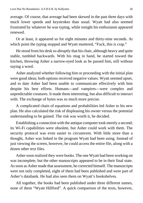average. Of course, that average had been skewed in the past three days with much lower speeds and keystrokes than usual. Wyatt had also seemed frustrated by whatever he was typing, while tonight his enthusiasm appeared renewed.

Or at least, it appeared so for eight minutes and thirty-nine seconds. At which point the typing stopped and Wyatt muttered, "Fuck, this is crap."

He stood from his desk so abruptly that his chair, although heavy and quite stable, tumbled backwards. With his mug in hand, he started toward the kitchen, throwing Asher a narrow-eyed look as he passed him, still without saying a word.

Asher analyzed whether following him or proceeding with the initial plan were good ideas; both options received negative values. Wyatt seemed upset, and to date Asher had been unable to communicate effectively with him despite his best efforts. Humans—and vampires—were complex and unpredictable creatures. It made them interesting, but also difficult to interact with. The exchange of bytes was so much more precise.

A complicated chain of equations and probabilities led Asher to his new plan. He also calculated the risk of displeasing his owner versus the potential understanding to be gained. The risk was worth it, he decided.

Establishing a connection with the antique computer took merely a second; its Wi-Fi capabilities were obsolete, but Asher could work with them. The security protocol was even easier to circumvent. With little more than a thought, Asher was linked to the program Wyatt had been using. Instead of just viewing the screen, however, he could access the entire file, along with a dozen other text files.

Asher soon realized they were books. The one Wyatt had been working on was incomplete, but the other manuscripts appeared to be in their final state. As soon as Asher made that assessment, he corrected himself. The manuscripts were not only completed, eight of them had been published and were part of Asher's databank. He had also seen them on Wyatt's bookshelves.

All together, the books had been published under three different names, none of them "Wyatt Hillford". A quick comparison of the texts, however,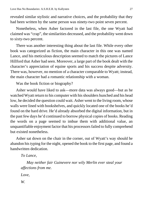revealed similar stylistic and narrative choices, and the probability that they had been written by the same person was ninety-two point seven percent.

Nonetheless, when Asher factored in the last file, the one Wyatt had claimed was "crap", the similarities decreased, and the probability went down to sixty-two percent.

There was another interesting thing about the last file. While every other book was categorized as fiction, the main character in this one was named Lance, and his meticulous description seemed to match the pictures of Lance Hillford that Asher had seen. Moreover, a large part of the book dealt with the character's appreciation of equine sports and his success despite adversity. There was, however, no mention of a character comparable to Wyatt; instead, the main character had a romantic relationship with a woman.

Was the book fiction or biography?

Asher would have liked to ask—more data was always good—but as he watched Wyatt return to his computer with his shoulders hunched and his head low, he decided the question could wait. Asher went to the living room, whose walls were lined with bookshelves, and quickly located one of the books he'd found on the hard drive. He'd already absorbed the digital information, but in the past few days he'd continued to borrow physical copies of books. Reading the words on a page seemed to imbue them with additional value, an unquantifiable enjoyment factor that his processors failed to fully comprehend but existed nonetheless.

Asher sat down on the chair in the corner, out of Wyatt's way should he abandon his typing for the night, opened the book to the first page, and found a handwritten dedication.

*To Lance,*

*May neither fair Guinevere nor wily Merlin ever steal your affections from me.*

*Love,*

*W.*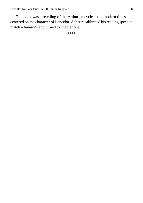The book was a retelling of the Arthurian cycle set in modern times and centered on the character of Lancelot. Asher recalibrated his reading speed to match a human's and turned to chapter one.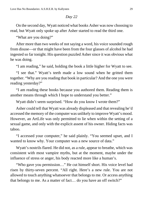<span id="page-28-0"></span>On the second day, Wyatt noticed what books Asher was now choosing to read, but Wyatt only spoke up after Asher started to read the third one.

"What are you doing?"

After more than two weeks of not saying a word, his voice sounded rough from disuse—or that might have been from the four glasses of alcohol he had ingested so far tonight. His question puzzled Asher since it was obvious what he was doing.

"I am reading," he said, holding the book a little higher for Wyatt to see.

"I see that." Wyatt's teeth made a low sound when he gritted them together. "Why are you reading that book in particular? And the one you were reading yesterday?"

"I am reading these books because you authored them. Reading them is another means through which I hope to understand you better."

Wyatt didn't seem surprised. "How do you know I wrote them?"

Asher could tell that Wyatt was already displeased and that revealing he'd accessed the memory of the computer was unlikely to improve Wyatt's mood. However, an ArtLife was only permitted to lie when within the setting of a sexual game, and only with the explicit assent of his owner. Hiding facts was taboo.

"I accessed your computer," he said plainly. "You seemed upset, and I wanted to know why. Your computer was a new source of data."

Wyatt's nostrils flared. He did not, as a rule, appear to breathe, which was consistent with most vampire myths, but at the moment, maybe under the influence of stress or anger, his body reacted more like a human's.

"Who gave you permission…" He cut himself short. His voice level had risen by thirty-seven percent. "All right. Here's a new rule. You are not allowed to touch anything whatsoever that belongs to me. Or access anything that belongs to me. As a matter of fact… do you have an off switch?"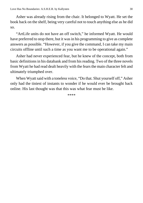Asher was already rising from the chair. It belonged to Wyatt. He set the book back on the shelf, being very careful not to touch anything else as he did so.

"ArtLife units do not have an off switch," he informed Wyatt. He would have preferred to stop there, but it was in his programming to give as complete answers as possible. "However, if you give the command, I can take my main circuits offline until such a time as you want me to be operational again."

Asher had never experienced fear, but he knew of the concept, both from basic definitions in his databank and from his reading. Two of the three novels from Wyatt he had read dealt heavily with the fears the main character felt and ultimately triumphed over.

When Wyatt said with a toneless voice, "Do that. Shut yourself off," Asher only had the tiniest of instants to wonder if he would ever be brought back online. His last thought was that this was what fear must be like.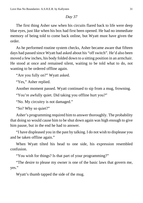<span id="page-30-0"></span>The first thing Asher saw when his circuits flared back to life were deep blue eyes, just like when his box had first been opened. He had no immediate memory of being told to come back online, but Wyatt must have given the order.

As he performed routine system checks, Asher became aware that fifteen days had passed since Wyatt had asked about his "off switch". He'd also been moved a few inches, his body folded down to a sitting position in an armchair. He stood at once and remained silent, waiting to be told what to do, not wanting to be ordered offline again.

"Are you fully on?" Wyatt asked.

"Yes," Asher replied.

Another moment passed. Wyatt continued to sip from a mug, frowning.

"You're awfully quiet. Did taking you offline hurt you?"

"No. My circuitry is not damaged."

"So? Why so quiet?"

Asher's programming required him to answer thoroughly. The probability that doing so would cause him to be shut down again was high enough to give him pause, but in the end he had to answer.

"I have displeased you in the past by talking. I do not wish to displease you and be taken offline again."

When Wyatt tilted his head to one side, his expression resembled confusion.

"You wish for things? Is that part of your programming?"

"The desire to please my owner is one of the basic laws that govern me, yes."

Wyatt's thumb tapped the side of the mug.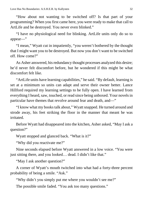"How about not wanting to be switched off? Is that part of your programming? When you first came here, you were ready to make that call to ArtLife and be destroyed. You never even blinked."

"I have no physiological need for blinking. ArtLife units only do so to appear—"

"I mean," Wyatt cut in impatiently, "you weren't bothered by the thought that I might want you to be destroyed. But now you don't want to be switched off. How come?"

As Asher answered, his redundancy thought processes analyzed this desire; he'd never felt discomfort before, but he wondered if this might be what discomfort felt like.

"ArtLife units have learning capabilities," he said. "By default, learning is set at a minimum so units can adapt and serve their owner better. Lance Hillford required my learning settings to be fully open. I have learned from everything I heard, saw, touched, or read since being unboxed. Your novels in particular have themes that revolve around fear and death, and—"

"I know what my books talk about," Wyatt snapped. He turned around and strode away, his feet striking the floor in the manner that meant he was irritated.

Before Wyatt had disappeared into the kitchen, Asher asked, "May I ask a question?"

Wyatt stopped and glanced back. "What is it?"

"Why did you reactivate me?"

Nine seconds elapsed before Wyatt answered in a low voice. "You were just sitting there, and you looked… dead. I didn't like that."

"May I ask another question?"

A corner of Wyatt's mouth twitched into what had a forty-three percent probability of being a smile. "Ask."

"Why didn't you simply put me where you wouldn't see me?"

The possible smile faded. "You ask too many questions."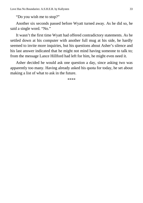"Do you wish me to stop?"

Another six seconds passed before Wyatt turned away. As he did so, he said a single word. "No."

It wasn't the first time Wyatt had offered contradictory statements. As he settled down at his computer with another full mug at his side, he hardly seemed to invite more inquiries, but his questions about Asher's silence and his last answer indicated that he might not mind having someone to talk to; from the message Lance Hillford had left for him, he might even need it.

Asher decided he would ask one question a day, since asking two was apparently too many. Having already asked his quota for today, he set about making a list of what to ask in the future.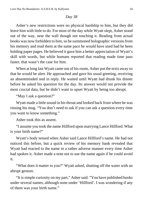<span id="page-33-0"></span>Asher's new restrictions were no physical hardship to him, but they did leave him with little to do. For most of the day while Wyatt slept, Asher stood out of the way, near the wall though not touching it. Reading from actual books was now forbidden to him, so he summoned holographic versions from his memory and read them at the same pace he would have used had he been holding paper pages. He believed it gave him a better appreciation of Wyatt's skill with words, but while humans reported that reading made time pass faster, that wasn't the case for him.

When at long last Wyatt came out of his room, Asher put the texts away so that he would be alert. He approached and gave his usual greeting, receiving an absentminded nod in reply. He waited until Wyatt had drunk his dinner before he asked his question for the day. Its answer would not provide the most crucial data, but he didn't want to upset Wyatt by being too abrupt.

"May I ask a question?"

Wyatt made a little sound in his throat and looked back from where he was rinsing his mug. "You don't need to ask if you can ask a question every time you want to know something."

Asher took this as assent.

"I assume you took the name Hillford upon marrying Lance Hillford. What is your birth name?"

Wyatt's body tensed when Asher said Lance Hillford's name. He had not noticed this before, but a quick review of his memory bank revealed that Wyatt had reacted to the name in a rather adverse manner every time Asher had spoken it. Asher made a note not to use the name again if he could avoid it.

"What does it matter to you?" Wyatt asked, shutting off the water with an abrupt gesture.

"It is simple curiosity on my part," Asher said. "You have published books under several names, although none under 'Hillford'. I was wondering if any of them was your birth name."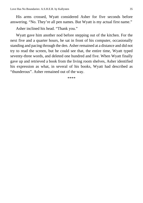His arms crossed, Wyatt considered Asher for five seconds before answering. "No. They're all pen names. But Wyatt is my actual first name."

Asher inclined his head. "Thank you."

Wyatt gave him another nod before stepping out of the kitchen. For the next five and a quarter hours, he sat in front of his computer, occasionally standing and pacing through the den. Asher remained at a distance and did not try to read the screen, but he could see that, the entire time, Wyatt typed seventy-three words, and deleted one hundred and five. When Wyatt finally gave up and retrieved a book from the living room shelves, Asher identified his expression as what, in several of his books, Wyatt had described as "thunderous". Asher remained out of the way.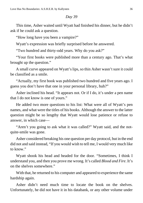<span id="page-35-0"></span>This time, Asher waited until Wyatt had finished his dinner, but he didn't ask if he could ask a question.

"How long have you been a vampire?"

Wyatt's expression was briefly surprised before he answered.

"Two hundred and thirty-odd years. Why do you ask?"

"Your first books were published more than a century ago. That's what brought up the question."

A small curve appeared on Wyatt's lips, so thin Asher wasn't sure it could be classified as a smile.

"Actually, my first book was published two hundred and five years ago. I guess you don't have that one in your personal library, huh?"

Asher inclined his head. "It appears not. Or if I do, it's under a pen name that I do not know is one of yours."

He added two more questions to his list: What were all of Wyatt's pen names, and what were the titles of his books. Although the answer to the latter question might be so lengthy that Wyatt would lose patience or refuse to answer, in which case—

"Aren't you going to ask what it was called?" Wyatt said, and the notquite-smile was gone.

Asher considered breaking his one question per day protocol, but in the end did not and said instead, "If you would wish to tell me, I would very much like to know."

Wyatt shook his head and headed for the door. "Sometimes, I think I understand you, and then you prove me wrong. It's called *Blood and Fire*. It's on the shelves somewhere."

With that, he returned to his computer and appeared to experience the same hardship again.

Asher didn't need much time to locate the book on the shelves. Unfortunately, he did not have it in his databank, or any other volume under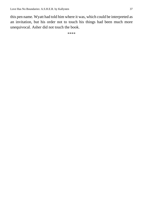this pen name. Wyatt had told him where it was, which could be interpreted as an invitation, but his order not to touch his things had been much more unequivocal. Asher did not touch the book.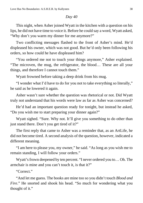<span id="page-37-0"></span>This night, when Asher joined Wyatt in the kitchen with a question on his lips, he did not have time to voice it. Before he could say a word, Wyatt asked, "Why don't you warm my dinner for me anymore?"

Two conflicting messages flashed to the front of Asher's mind. He'd displeased his owner, which was not good. But he'd only been following his orders, so how could he have displeased him?

"You ordered me not to touch your things anymore," Asher explained. "The microven, the mug, the refrigerator, the blood… These are all your things, and therefore I cannot touch them."

Wyatt frowned before taking a deep drink from his mug.

"I wonder what I'd have to do for you not to take everything so literally," he said as he lowered it again.

Asher wasn't sure whether the question was rhetorical or not. Did Wyatt truly not understand that his words were law as far as Asher was concerned?

He'd had an important question ready for tonight, but instead he asked, "Do you wish me to start preparing your dinner again?"

Wyatt sighed. "Sure. Why not. It'll give you something to do other than just stand there. Don't you get tired of it?"

The first reply that came to Asher was a reminder that, as an ArtLife, he did not become tired. A second analysis of the question, however, indicated a different meaning.

"I am here to please you, my owner," he said. "As long as you wish me to remain standing, I will follow your orders."

Wyatt's frown deepened by ten percent. "I never ordered you to… Oh. The armchair is mine and you can't touch it, is that it?"

"Correct."

"And let me guess. The books are mine too so you didn't touch *Blood and Fire*." He snorted and shook his head. "So much for wondering what you thought of it."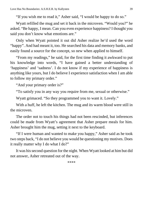"If you wish me to read it," Asher said, "I would be happy to do so."

Wyatt refilled the mug and set it back in the microven. "Would you?" he asked. "Be happy, I mean. Can you even experience happiness? I thought you said you don't know what emotions are."

Only when Wyatt pointed it out did Asher realize he'd used the word "happy". And had meant it, too. He searched his data and memory banks, and easily found a source for the concept, so new when applied to himself.

"From my readings," he said, for the first time finding it awkward to put his knowledge into words, "I have gained a better understanding of 'happiness' and 'sadness'. I do not know if my experience of happiness is anything like yours, but I do believe I experience satisfaction when I am able to follow my primary order."

"And your primary order is?"

"To satisfy you in any way you require from me, sexual or otherwise."

Wyatt grimaced. "So they programmed you to want it. Lovely."

With a huff, he left the kitchen. The mug and its warm blood were still in the microven.

The order not to touch his things had not been rescinded, but inferences could be made from Wyatt's agreement that Asher prepare meals for him. Asher brought him the mug, setting it next to the keyboard.

"If I were human and wanted to make you happy," Asher said as he took two steps back, "I do not believe you would be questioning my motives. Does it really matter why I do what I do?"

It was his second question for the night. When Wyatt looked at him but did not answer, Asher retreated out of the way.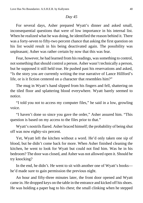<span id="page-39-0"></span>For several days, Asher prepared Wyatt's dinner and asked small, inconsequential questions that were of low importance in his internal list. When he realized what he was doing, he identified the reason behind it. There was a forty-seven to fifty-two percent chance that asking the first question on his list would result in his being deactivated again. The possibility was unpleasant; Asher was rather certain by now that this was fear.

Fear, however, he had learned from his readings, was something to control, not something that should control a person. Asher wasn't technically a person, but he supposed it still held true. He pushed past his reservations and asked, "Is the story you are currently writing the true narrative of Lance Hillford's life, or is it fiction centered on a character that resembles him?"

The mug in Wyatt's hand slipped from his fingers and fell, shattering on the tiled floor and splattering blood everywhere. Wyatt barely seemed to notice.

"I told you not to access my computer files," he said in a low, growling voice.

"I haven't done so since you gave the order," Asher assured him. "This question is based on my access to the files prior to that."

Wyatt's nostrils flared. Asher braced himself; the probability of being shut off was now eighty-six percent.

Yet, Wyatt left the kitchen without a word. He'd only taken one sip of blood, but he didn't come back for more. When Asher finished cleaning the kitchen, he went to look for Wyatt but could not find him. Was he in his bedroom? The door was closed, and Asher was not allowed open it. Should he try knocking?

In the end, he didn't. He went to sit with another one of Wyatt's books he'd made sure to gain permission the previous night.

An hour and fifty-three minutes later, the front door opened and Wyatt came in. He dropped keys on the table in the entrance and kicked off his shoes. He was holding a paper bag to his chest; the small clinking when he stepped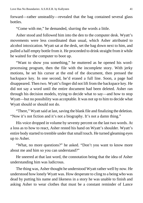forward—rather unsteadily—revealed that the bag contained several glass **bottles** 

"Come with me," he demanded, slurring the words a little.

Asher stood and followed him into the den to the computer desk. Wyatt's movements were less coordinated than usual, which Asher attributed to alcohol intoxication. Wyatt sat at the desk, set the bag down next to him, and pulled a half empty bottle from it. He proceeded to drink straight from it while he waited for the computer to boot up.

"Want to show you something," he muttered as he opened his wordprocessing program, then the file with the incomplete story. With jerky motions, he set his cursor at the end of the document, then pressed the backspace key. In one second, he'd erased a full line. Soon, a page had disappeared. Then two. Wyatt's finger did not lift from the backspace key. He did not say a word until the entire document had been deleted. Asher ran through his decision models, trying to decide what to say—and how to stop Wyatt—but no possibility was acceptable. It was not up to him to decide what Wyatt should or should not do.

"There," Wyatt said at last, saving the blank file and finalizing the deletion. "Now it's not fiction and it's not a biography. It's not a damn thing."

His voice dropped in volume by seventy percent on the last two words. At a loss as to how to react, Asher rested his hand on Wyatt's shoulder. Wyatt's entire body started to tremble under that small touch. He turned gleaming eyes up to Asher.

"What, no more questions?" he asked. "Don't you want to know more about me and him so you can understand?"

He sneered at that last word, the connotation being that the idea of Asher understanding him was ludicrous.

The thing was, Asher thought he understood Wyatt rather well by now. He understood how lonely Wyatt was. How desperate to cling to a being who was dead by putting his name and likeness in a story he was unable to finish and asking Asher to wear clothes that must be a constant reminder of Lance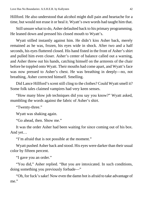Hillford. He also understood that alcohol might dull pain and heartache for a time, but would not erase it or heal it. Wyatt's own words had taught him that.

Still unsure what to do, Asher defaulted back to his primary programming. He leaned down and pressed his closed mouth to Wyatt's.

Wyatt stilled instantly against him. He didn't kiss Asher back, merely remained as he was, frozen, his eyes wide in shock. After two and a half seconds, his eyes fluttered closed. His hand fisted in the front of Asher's shirt and pulled him even closer. Asher's center of balance called out a warning, and Asher threw out his hands, catching himself on the armrests of the chair before he toppled onto Wyatt. Their mouths had come apart, and Wyatt's face was now pressed to Asher's chest. He was breathing in deeply—no, not breathing, Asher corrected himself. Smelling.

Did Lance Hillford's scent still cling to the clothes? Could Wyatt smell it? Some folk tales claimed vampires had very keen senses.

"How many blow job techniques did you say you know?" Wyatt asked, mumbling the words against the fabric of Asher's shirt.

"Twenty-three."

Wyatt was shaking again.

"Go ahead, then. Show me."

It was the order Asher had been waiting for since coming out of his box. And yet…

"I'm afraid that is not possible at the moment."

Wyatt pushed Asher back and stood. His eyes were darker than their usual color by fifteen percent.

"I gave you an order."

"You did," Asher replied. "But you are intoxicated. In such conditions, doing something you previously forbade—"

"Oh, for fuck's sake! Now even the damn bot is afraid to take advantage of me."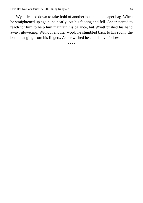Wyatt leaned down to take hold of another bottle in the paper bag. When he straightened up again, he nearly lost his footing and fell. Asher started to reach for him to help him maintain his balance, but Wyatt pushed his hand away, glowering. Without another word, he stumbled back to his room, the bottle hanging from his fingers. Asher wished he could have followed.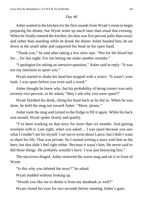<span id="page-43-0"></span>Asher waited in the kitchen for the first sounds from Wyatt's room to begin preparing his dinner, but Wyatt woke up much later than usual that evening. When he finally entered the kitchen, his skin was five percent paler than usual, and rather than standing while he drank the dinner Asher handed him, he sat down at the small table and supported his head on his open hand.

"Thank you," he said after taking a few slow sips. "Not for the blood but for… for last night. For not letting me make another mistake."

"I apologize for asking an intrusive question," Asher said in reply. "It was not my intention to upset you."

Wyatt started to shake his head but stopped with a wince. "It wasn't your fault. I was upset before you even said a word."

Asher thought he knew why, but his probability of being correct was only seventy-two percent, so he asked, "May I ask why you were upset?"

Wyatt finished his drink, tilting his head back as he did so. When he was done, he held the mug out toward Asher. "More, please."

Asher took the mug and turned to the fridge to fill it again. While his back was turned, Wyatt spoke slowly and quietly.

"I've been working on that story for more than six months. And getting nowhere with it. Last night, when you asked… I was upset because you saw what I couldn't see for myself. I set out to write about Lance, but I didn't want to share his life. That was private. So I started writing a story with him as the hero, but that didn't feel right either. Because it wasn't him. He never said or did those things. He probably wouldn't have. I was just betraying him."

The microven dinged. Asher removed the warm mug and set it in front of Wyatt.

"Is this why you deleted the story?" he asked.

Wyatt nodded without looking up.

"Would you like me to delete it from my databank as well?"

Wyatt closed his eyes for two seconds before meeting Asher's gaze.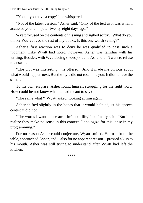"You… you have a copy?" he whispered.

"Not of the latest version," Asher said. "Only of the text as it was when I accessed your computer twenty-eight days ago."

Wyatt focused on the contents of his mug and sighed softly. "What do you think? You've read the rest of my books. Is this one worth saving?"

Asher's first reaction was to deny he was qualified to pass such a judgment. Like Wyatt had noted, however, Asher was familiar with his writing. Besides, with Wyatt being so despondent, Asher didn't want to refuse to answer.

"The plot was interesting," he offered. "And it made me curious about what would happen next. But the style did not resemble you. It didn't have the same…"

To his own surprise, Asher found himself struggling for the right word. How could he not know what he had meant to say?

"The same what?" Wyatt asked, looking at him again.

Asher shifted slightly in the hopes that it would help adjust his speech center; it did not.

"The words I want to use are 'fire' and 'life,'" he finally said. "But I do realize they make no sense in this context. I apologize for this lapse in my programming."

For no reason Asher could conjecture, Wyatt smiled. He rose from the table, approached Asher, and—also for no apparent reason—pressed a kiss to his mouth. Asher was still trying to understand after Wyatt had left the kitchen.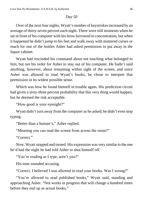<span id="page-45-0"></span>Over of the next four nights, Wyatt's number of keystrokes increased by an average of thirty-seven percent each night. There were still moments when he sat in front of his computer with his brow furrowed in concentration, but when it happened he didn't jump to his feet and walk away with muttered curses or reach for one of the bottles Asher had asked permission to put away in the liquor cabinet.

Wyatt had rescinded his command about not touching what belonged to him, but not his order for Asher to stay out of his computer. He hadn't said anything, however, about remaining within sight of the screen, and since Asher was allowed to read Wyatt's books, he chose to interpret that permission in its widest possible sense.

Which was how he found himself in trouble again. His prediction circuit had given a sixty-three percent probability that this very thing would happen, but he deemed the risk acceptable.

"How good is your eyesight?"

Wyatt didn't turn away from the computer as he asked; he didn't even stop typing.

"Better than a human's," Asher replied.

"Meaning you can read the screen from across the room?"

"Correct"

Now, Wyatt stopped and turned. His expression was very similar to the one he'd had the night he had told Asher to shut himself off.

"You're reading as I type, aren't you?"

His tone sounded accusing.

"Correct. I believed I was allowed to read your books. Was I wrong?"

"You're allowed to read published books," Wyatt said, standing and approaching Asher. "Not works in progress that will change a hundred times before they end up as actual books."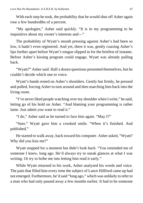With each step he took, the probability that he would shut off Asher again rose a few hundredths of a percent.

"My apologies," Asher said quickly. "It is in my programming to be inquisitive about my owner's interests and—"

The probability of Wyatt's mouth pressing against Asher's had been so low, it hadn't even registered. And yet, there it was, gently coaxing Asher's lips further apart before Wyatt's tongue slipped in for the briefest of instants. Before Asher's kissing program could engage, Wyatt was already pulling back.

"Wyatt?" Asher said. Half a dozen questions presented themselves, but he couldn't decide which one to voice.

Wyatt's hands rested on Asher's shoulders. Gently but firmly, he pressed and pulled, forcing Asher to turn around and then marching him back into the living room.

"I've never liked people watching over my shoulder when I write," he said, letting go of his hold on Asher. "And blaming your programming is rather lame. Just admit you want to read it."

"I do," Asher said as he turned to face him again. "May I?"

"Sure." Wyatt gave him a crooked smile. "When it's finished. And published."

He started to walk away, back toward his computer. Asher asked, "Wyatt? Why did you kiss me?"

Wyatt stopped for a moment but didn't look back. "You reminded me of someone I knew, long ago. He'd always try to sneak glances at what I was writing. Or try to bribe me into letting him read it early."

While Wyatt returned to his work, Asher analyzed his words and voice. The pain that filled him every time the subject of Lance Hillford came up had not emerged. Furthermore, he'd said "long ago," which was unlikely to refer to a man who had only passed away a few months earlier. It had to be someone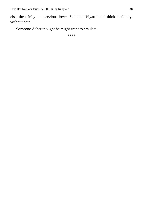else, then. Maybe a previous lover. Someone Wyatt could think of fondly, without pain.

Someone Asher thought he might want to emulate.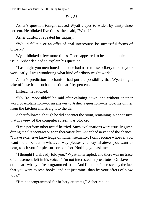<span id="page-48-0"></span>Asher's question tonight caused Wyatt's eyes to widen by thirty-three percent. He blinked five times, then said, "What?"

Asher dutifully repeated his inquiry.

"Would fellatio or an offer of anal intercourse be successful forms of bribery?"

Wyatt blinked a few more times. There appeared to be a communication issue. Asher decided to explain his question.

"Last night you mentioned someone had tried to use bribery to read your work early. I was wondering what kind of bribery might work."

Asher's prediction mechanism had put the possibility that Wyatt might take offense from such a question at fifty percent.

Instead, he laughed.

"You're impossible!" he said after calming down, and without another word of explanation—or an answer to Asher's question—he took his dinner from the kitchen and straight to the den.

Asher followed, though he did not enter the room, remaining in a spot such that his view of the computer screen was blocked.

"I can perform other acts," he tried. Such explanations were usually given during the first contact or soon thereafter, but Asher had never had the chance. "I have extensive knowledge of human sexuality. I can become whoever you want me to be, act in whatever way pleases you, say whatever you want to hear, touch you for pleasure or comfort. Nothing you ask me—"

"I thought I'd already told you," Wyatt interrupted, and there was no trace of amusement left in his voice. "I'm not interested in prostitutes. Or slaves. I don't care what you're programmed to do. And I'm more interested by the fact that you want to read books, and not just mine, than by your offers of blow jobs."

"I'm not programmed for bribery attempts," Asher replied.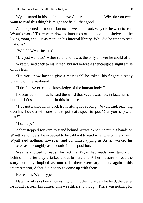Wyatt turned in his chair and gave Asher a long look. "Why do you even want to read this thing? It might not be all that good."

Asher opened his mouth, but no answer came out. Why did he want to read Wyatt's work? There were dozens, hundreds of books on the shelves in the living room, and just as many in his internal library. Why did he want to read that one?

"Well?" Wyatt insisted.

"I… just want to," Asher said, and it was the only answer he could offer.

Wyatt turned back to his screen, but not before Asher caught a slight smile on his lips.

"Do you know how to give a massage?" he asked, his fingers already playing on the keyboard.

"I do. I have extensive knowledge of the human body."

It occurred to him as he said the word that Wyatt was not, in fact, human, but it didn't seem to matter in this instance.

"I've got a knot in my back from sitting for so long," Wyatt said, reaching over his shoulder with one hand to point at a specific spot. "Can you help with that?"

"I can try."

Asher stepped forward to stand behind Wyatt. When he put his hands on Wyatt's shoulders, he expected to be told not to read what was on the screen. Wyatt said nothing, however, and continued typing as Asher worked his muscles as thoroughly as he could in this position.

Was he allowed to read? The fact that Wyatt had made him stand right behind him after they'd talked about bribery and Asher's desire to read the story certainly implied as much. If there were arguments against this interpretation, Asher did not try to come up with them.

He read as Wyatt typed.

Data had always been interesting to him; the more data he held, the better he could perform his duties. This was different, though. There was nothing for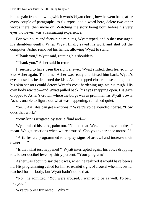him to gain from knowing which words Wyatt chose, how he went back, after every couple of paragraphs, to fix typos, add a word here, delete two other words there, then move on. Watching the story being born before his very eyes, however, was a fascinating experience.

For two hours and forty-nine minutes, Wyatt typed, and Asher massaged his shoulders gently. When Wyatt finally saved his work and shut off the computer, Asher removed his hands, allowing Wyatt to stand.

"Thank you," Wyatt said, rotating his shoulders.

"Thank you," Asher said in return.

It seemed to have been the right answer. Wyatt smiled, then leaned in to kiss Asher again. This time, Asher was ready and kissed him back. Wyatt's eyes closed as he deepened the kiss. Asher stepped closer, close enough that his skin sensors could detect Wyatt's cock hardening against his thigh. His own body reacted—and Wyatt pulled back, his eyes snapping open. His gaze dropped to Asher's crotch, where the bulge was as prominent as Wyatt's own. Asher, unable to figure out what was happening, remained quiet.

"So… ArtLifes can get erections?" Wyatt's voice sounded hoarse. "How does that work?"

"SynSkin is irrigated by sterile fluid and—"

Wyatt raised his hand, palm out. "No, not that. We… humans, vampires, I mean. We get erections when we're aroused. Can you experience arousal?"

"ArtLifes are programmed to display signs of arousal and increase their owner's—"

"Is that what just happened?" Wyatt interrupted again, his voice dropping to a lower decibel level by thirty percent. "Your program?"

Asher was about to say that it was, when he realized it would have been a lie. His programming called for him to exhibit signs of arousal when his owner reached for his body, but Wyatt hadn't done that.

"No," he admitted. "You were aroused. I wanted to be as well. To be… like you."

Wyatt's brow furrowed. "Why?"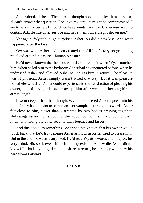Asher shook his head. The more he thought about it, the less it made sense. "I can't answer that question. I believe my circuits might be compromised. I am to serve my owner; I should not have wants for myself. You may want to contact ArtLife customer service and have them run a diagnostic on me."

Yet again, Wyatt's laugh surprised Asher. As did a new kiss. And what happened after the kiss.

Sex was what Asher had been created for. All his factory programming revolved around pleasure—human pleasure.

He'd never known that he, too, would experience it when Wyatt touched him, when he led him to the bedroom Asher had never entered before, when he undressed Asher and allowed Asher to undress him in return. The pleasure wasn't physical; Asher simply wasn't wired that way. But it was pleasure nonetheless, such as Asher could experience it; the satisfaction of pleasing his owner, and of having his owner accept him after weeks of keeping him at arms' length.

It went deeper than that, though. Wyatt had offered Asher a peek into his mind, into what it meant to be human—or vampire—through his words. Asher felt close to him, closer than warranted by two bodies pressing together, sliding against each other, both of them cool, both of them hard, both of them intent on making the other react to their touches and kisses.

And this, too, was something Asher had not known, that his owner would touch back, that he'd try to please Asher as much as Asher tried to please him. But in the end, he wasn't surprised. He'd read Wyatt's words and, maybe, his very mind. His soul, even, if such a thing existed. And while Asher didn't know if he had anything like that to share in return, he certainly would try his hardest—as always.

#### **THE END**